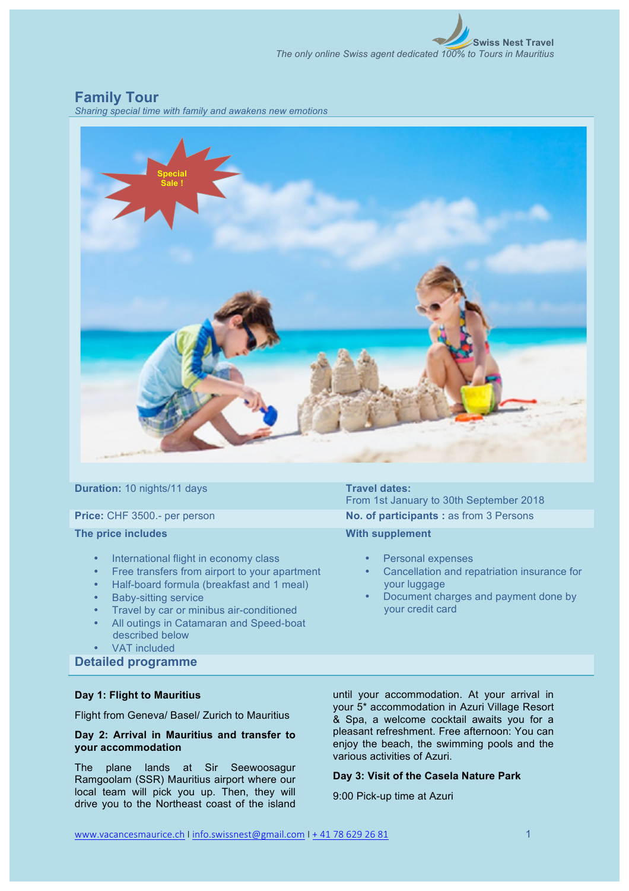**Swiss Nest Travel** *The only online Swiss agent dedicated 100% to Tours in Mauritius*

# **Family Tour**

*Sharing special time with family and awakens new emotions*



**Duration:** 10 nights/11 days **Travel dates:** 

**The price includes**

- International flight in economy class
- Free transfers from airport to your apartment
- Half-board formula (breakfast and 1 meal)
- Baby-sitting service
- Travel by car or minibus air-conditioned
- All outings in Catamaran and Speed-boat described below
- VAT included

**Detailed programme**

# **Day 1: Flight to Mauritius**

Flight from Geneva/ Basel/ Zurich to Mauritius

# **Day 2: Arrival in Mauritius and transfer to your accommodation**

The plane lands at Sir Seewoosagur Ramgoolam (SSR) Mauritius airport where our local team will pick you up. Then, they will drive you to the Northeast coast of the island

From 1st January to 30th September 2018 **Price:** CHF 3500.- per person **No. of participants :** as from 3 Persons

# **With supplement**

- Personal expenses
- Cancellation and repatriation insurance for your luggage
- Document charges and payment done by your credit card

until your accommodation. At your arrival in your 5\* accommodation in Azuri Village Resort & Spa, a welcome cocktail awaits you for a pleasant refreshment. Free afternoon: You can enjoy the beach, the swimming pools and the various activities of Azuri.

# **Day 3: Visit of the Casela Nature Park**

9:00 Pick-up time at Azuri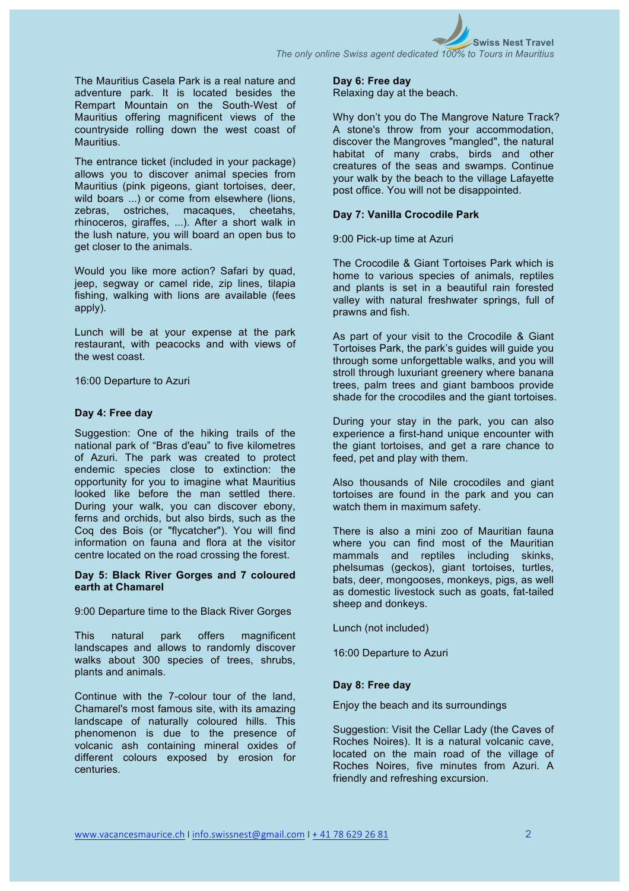*The only online Swiss agent dedicated 100% to Tours in Mauritius*

The Mauritius Casela Park is a real nature and adventure park. It is located besides the Rempart Mountain on the South-West of Mauritius offering magnificent views of the countryside rolling down the west coast of Mauritius.

The entrance ticket (included in your package) allows you to discover animal species from Mauritius (pink pigeons, giant tortoises, deer, wild boars ...) or come from elsewhere (lions, zebras, ostriches, macaques, cheetahs, rhinoceros, giraffes, ...). After a short walk in the lush nature, you will board an open bus to get closer to the animals.

Would you like more action? Safari by quad, jeep, segway or camel ride, zip lines, tilapia fishing, walking with lions are available (fees apply).

Lunch will be at your expense at the park restaurant, with peacocks and with views of the west coast.

16:00 Departure to Azuri

## **Day 4: Free day**

Suggestion: One of the hiking trails of the national park of "Bras d'eau" to five kilometres of Azuri. The park was created to protect endemic species close to extinction: the opportunity for you to imagine what Mauritius looked like before the man settled there. During your walk, you can discover ebony, ferns and orchids, but also birds, such as the Coq des Bois (or "flycatcher"). You will find information on fauna and flora at the visitor centre located on the road crossing the forest.

# **Day 5: Black River Gorges and 7 coloured earth at Chamarel**

9:00 Departure time to the Black River Gorges

This natural park offers magnificent landscapes and allows to randomly discover walks about 300 species of trees, shrubs, plants and animals.

Continue with the 7-colour tour of the land, Chamarel's most famous site, with its amazing landscape of naturally coloured hills. This phenomenon is due to the presence of volcanic ash containing mineral oxides of different colours exposed by erosion for centuries.

#### **Day 6: Free day**

Relaxing day at the beach.

Why don't you do The Mangrove Nature Track? A stone's throw from your accommodation, discover the Mangroves "mangled", the natural habitat of many crabs, birds and other creatures of the seas and swamps. Continue your walk by the beach to the village Lafayette post office. You will not be disappointed.

# **Day 7: Vanilla Crocodile Park**

9:00 Pick-up time at Azuri

The Crocodile & Giant Tortoises Park which is home to various species of animals, reptiles and plants is set in a beautiful rain forested valley with natural freshwater springs, full of prawns and fish.

As part of your visit to the Crocodile & Giant Tortoises Park, the park's guides will guide you through some unforgettable walks, and you will stroll through luxuriant greenery where banana trees, palm trees and giant bamboos provide shade for the crocodiles and the giant tortoises.

During your stay in the park, you can also experience a first-hand unique encounter with the giant tortoises, and get a rare chance to feed, pet and play with them.

Also thousands of Nile crocodiles and giant tortoises are found in the park and you can watch them in maximum safety.

There is also a mini zoo of Mauritian fauna where you can find most of the Mauritian mammals and reptiles including skinks, phelsumas (geckos), giant tortoises, turtles, bats, deer, mongooses, monkeys, pigs, as well as domestic livestock such as goats, fat-tailed sheep and donkeys.

Lunch (not included)

16:00 Departure to Azuri

## **Day 8: Free day**

Enjoy the beach and its surroundings

Suggestion: Visit the Cellar Lady (the Caves of Roches Noires). It is a natural volcanic cave, located on the main road of the village of Roches Noires, five minutes from Azuri. A friendly and refreshing excursion.